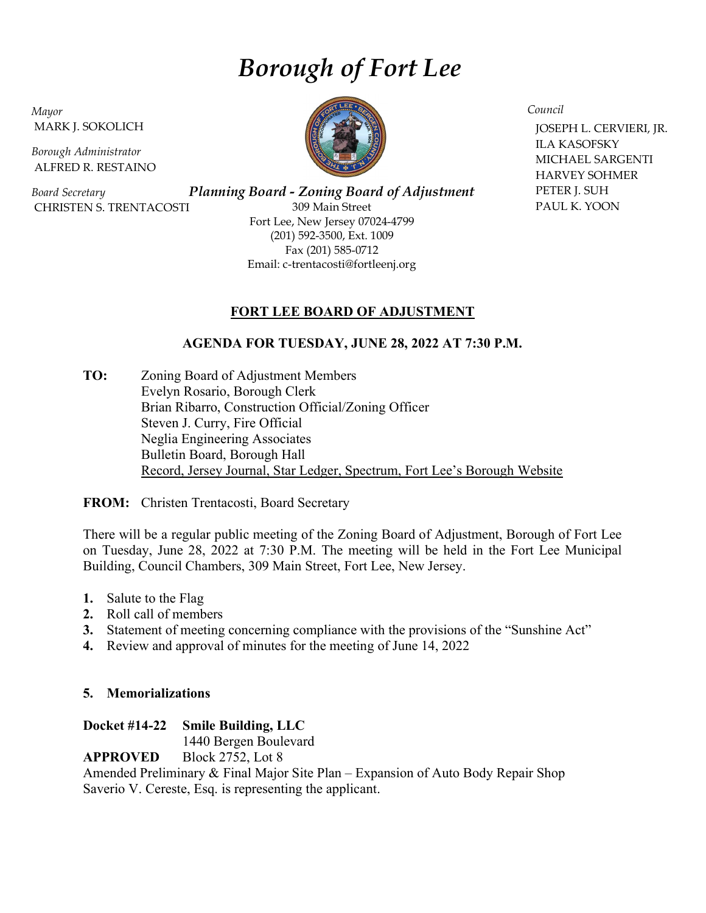# Borough of Fort Lee

Mayor MARK J. SOKOLICH

Borough Administrator ALFRED R. RESTAINO

Board Secretary CHRISTEN S. TRENTACOSTI

Planning Board - Zoning Board of Adjustment 309 Main Street Fort Lee, New Jersey 07024-4799 (201) 592-3500, Ext. 1009 Fax (201) 585-0712 Email: c-trentacosti@fortleenj.org

# FORT LEE BOARD OF ADJUSTMENT

# AGENDA FOR TUESDAY, JUNE 28, 2022 AT 7:30 P.M.

TO: Zoning Board of Adjustment Members Evelyn Rosario, Borough Clerk Brian Ribarro, Construction Official/Zoning Officer Steven J. Curry, Fire Official Neglia Engineering Associates Bulletin Board, Borough Hall Record, Jersey Journal, Star Ledger, Spectrum, Fort Lee's Borough Website

FROM: Christen Trentacosti, Board Secretary

There will be a regular public meeting of the Zoning Board of Adjustment, Borough of Fort Lee on Tuesday, June 28, 2022 at 7:30 P.M. The meeting will be held in the Fort Lee Municipal Building, Council Chambers, 309 Main Street, Fort Lee, New Jersey.

- 1. Salute to the Flag
- 2. Roll call of members
- 3. Statement of meeting concerning compliance with the provisions of the "Sunshine Act"
- 4. Review and approval of minutes for the meeting of June 14, 2022

# 5. Memorializations

# Docket #14-22 Smile Building, LLC

1440 Bergen Boulevard

APPROVED Block 2752, Lot 8

Amended Preliminary & Final Major Site Plan – Expansion of Auto Body Repair Shop Saverio V. Cereste, Esq. is representing the applicant.



Council

 JOSEPH L. CERVIERI, JR. ILA KASOFSKY MICHAEL SARGENTI HARVEY SOHMER PETER J. SUH PAUL K. YOON